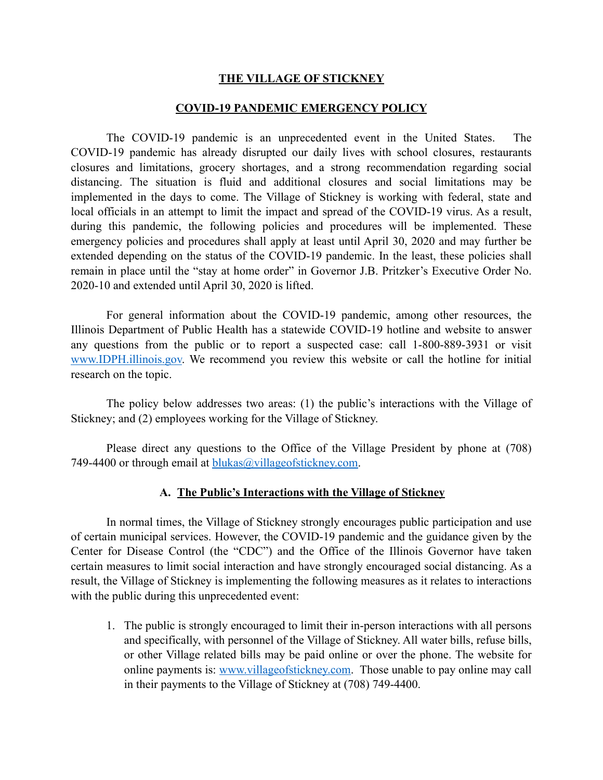## **THE VILLAGE OF STICKNEY**

## **COVID-19 PANDEMIC EMERGENCY POLICY**

 The COVID-19 pandemic is an unprecedented event in the United States. The COVID-19 pandemic has already disrupted our daily lives with school closures, restaurants closures and limitations, grocery shortages, and a strong recommendation regarding social distancing. The situation is fluid and additional closures and social limitations may be implemented in the days to come. The Village of Stickney is working with federal, state and local officials in an attempt to limit the impact and spread of the COVID-19 virus. As a result, during this pandemic, the following policies and procedures will be implemented. These emergency policies and procedures shall apply at least until April 30, 2020 and may further be extended depending on the status of the COVID-19 pandemic. In the least, these policies shall remain in place until the "stay at home order" in Governor J.B. Pritzker's Executive Order No. 2020-10 and extended until April 30, 2020 is lifted.

 For general information about the COVID-19 pandemic, among other resources, the Illinois Department of Public Health has a statewide COVID-19 hotline and website to answer any questions from the public or to report a suspected case: call 1-800-889-3931 or visit [www.IDPH.illinois.gov.](http://www.IDPH.illinois.gov) We recommend you review this website or call the hotline for initial research on the topic.

The policy below addresses two areas: (1) the public's interactions with the Village of Stickney; and (2) employees working for the Village of Stickney.

Please direct any questions to the Office of the Village President by phone at (708) 749-4400 or through email at [blukas@villageofstickney.com.](mailto:blukas@villageofstickney.com)

## **A. The Public's Interactions with the Village of Stickney**

In normal times, the Village of Stickney strongly encourages public participation and use of certain municipal services. However, the COVID-19 pandemic and the guidance given by the Center for Disease Control (the "CDC") and the Office of the Illinois Governor have taken certain measures to limit social interaction and have strongly encouraged social distancing. As a result, the Village of Stickney is implementing the following measures as it relates to interactions with the public during this unprecedented event:

1. The public is strongly encouraged to limit their in-person interactions with all persons and specifically, with personnel of the Village of Stickney. All water bills, refuse bills, or other Village related bills may be paid online or over the phone. The website for online payments is: [www.villageofstickney.com](http://www.villageofstickney.com). Those unable to pay online may call in their payments to the Village of Stickney at (708) 749-4400.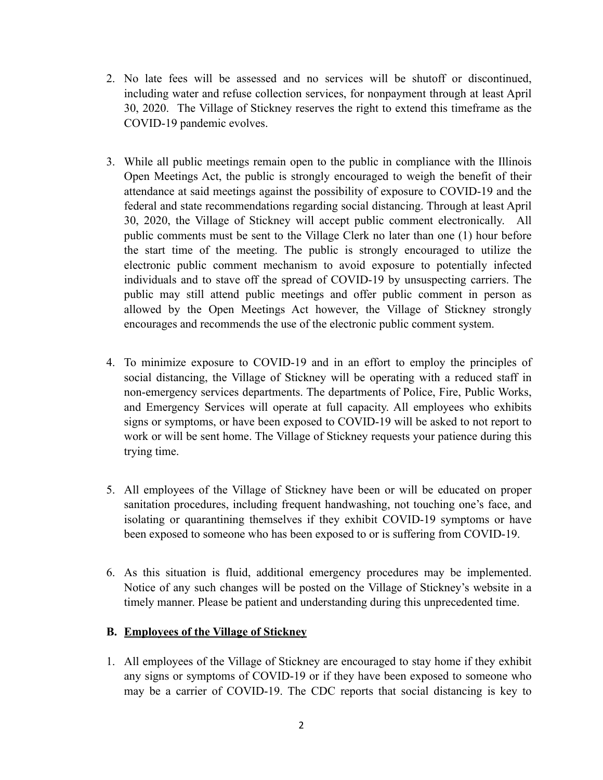- 2. No late fees will be assessed and no services will be shutoff or discontinued, including water and refuse collection services, for nonpayment through at least April 30, 2020. The Village of Stickney reserves the right to extend this timeframe as the COVID-19 pandemic evolves.
- 3. While all public meetings remain open to the public in compliance with the Illinois Open Meetings Act, the public is strongly encouraged to weigh the benefit of their attendance at said meetings against the possibility of exposure to COVID-19 and the federal and state recommendations regarding social distancing. Through at least April 30, 2020, the Village of Stickney will accept public comment electronically. All public comments must be sent to the Village Clerk no later than one (1) hour before the start time of the meeting. The public is strongly encouraged to utilize the electronic public comment mechanism to avoid exposure to potentially infected individuals and to stave off the spread of COVID-19 by unsuspecting carriers. The public may still attend public meetings and offer public comment in person as allowed by the Open Meetings Act however, the Village of Stickney strongly encourages and recommends the use of the electronic public comment system.
- 4. To minimize exposure to COVID-19 and in an effort to employ the principles of social distancing, the Village of Stickney will be operating with a reduced staff in non-emergency services departments. The departments of Police, Fire, Public Works, and Emergency Services will operate at full capacity. All employees who exhibits signs or symptoms, or have been exposed to COVID-19 will be asked to not report to work or will be sent home. The Village of Stickney requests your patience during this trying time.
- 5. All employees of the Village of Stickney have been or will be educated on proper sanitation procedures, including frequent handwashing, not touching one's face, and isolating or quarantining themselves if they exhibit COVID-19 symptoms or have been exposed to someone who has been exposed to or is suffering from COVID-19.
- 6. As this situation is fluid, additional emergency procedures may be implemented. Notice of any such changes will be posted on the Village of Stickney's website in a timely manner. Please be patient and understanding during this unprecedented time.

## **B. Employees of the Village of Stickney**

1. All employees of the Village of Stickney are encouraged to stay home if they exhibit any signs or symptoms of COVID-19 or if they have been exposed to someone who may be a carrier of COVID-19. The CDC reports that social distancing is key to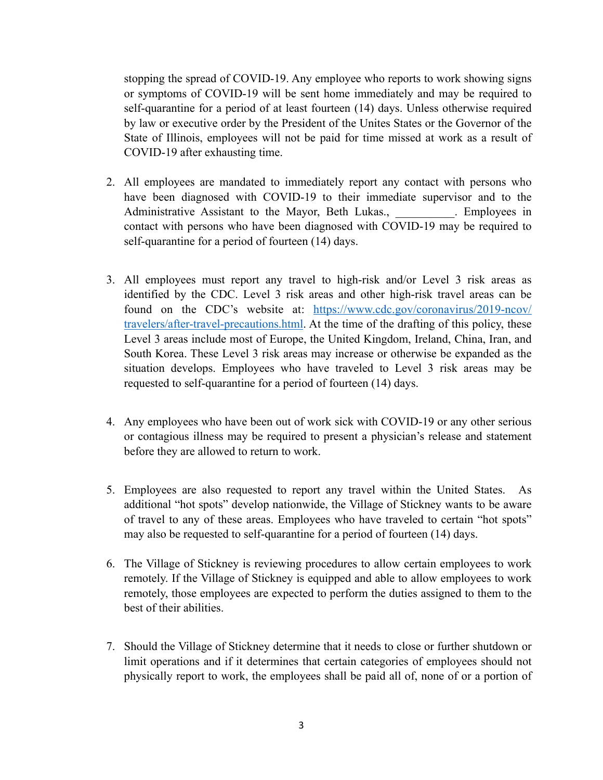stopping the spread of COVID-19. Any employee who reports to work showing signs or symptoms of COVID-19 will be sent home immediately and may be required to self-quarantine for a period of at least fourteen (14) days. Unless otherwise required by law or executive order by the President of the Unites States or the Governor of the State of Illinois, employees will not be paid for time missed at work as a result of COVID-19 after exhausting time.

- 2. All employees are mandated to immediately report any contact with persons who have been diagnosed with COVID-19 to their immediate supervisor and to the Administrative Assistant to the Mayor, Beth Lukas., Employees in contact with persons who have been diagnosed with COVID-19 may be required to self-quarantine for a period of fourteen (14) days.
- 3. All employees must report any travel to high-risk and/or Level 3 risk areas as identified by the CDC. Level 3 risk areas and other high-risk travel areas can be found on the CDC's website at: [https://www.cdc.gov/coronavirus/2019-ncov/](https://www.cdc.gov/coronavirus/2019-ncov/travelers/after-travel-precautions.html) [travelers/after-travel-precautions.html](https://www.cdc.gov/coronavirus/2019-ncov/travelers/after-travel-precautions.html). At the time of the drafting of this policy, these Level 3 areas include most of Europe, the United Kingdom, Ireland, China, Iran, and South Korea. These Level 3 risk areas may increase or otherwise be expanded as the situation develops. Employees who have traveled to Level 3 risk areas may be requested to self-quarantine for a period of fourteen (14) days.
- 4. Any employees who have been out of work sick with COVID-19 or any other serious or contagious illness may be required to present a physician's release and statement before they are allowed to return to work.
- 5. Employees are also requested to report any travel within the United States. As additional "hot spots" develop nationwide, the Village of Stickney wants to be aware of travel to any of these areas. Employees who have traveled to certain "hot spots" may also be requested to self-quarantine for a period of fourteen (14) days.
- 6. The Village of Stickney is reviewing procedures to allow certain employees to work remotely. If the Village of Stickney is equipped and able to allow employees to work remotely, those employees are expected to perform the duties assigned to them to the best of their abilities.
- 7. Should the Village of Stickney determine that it needs to close or further shutdown or limit operations and if it determines that certain categories of employees should not physically report to work, the employees shall be paid all of, none of or a portion of